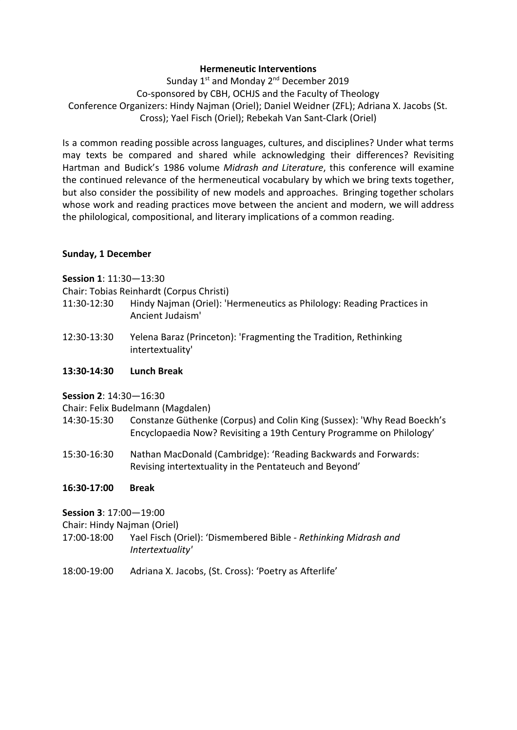## **Hermeneutic Interventions**

Sunday 1<sup>st</sup> and Monday 2<sup>nd</sup> December 2019 Co-sponsored by CBH, OCHJS and the Faculty of Theology Conference Organizers: Hindy Najman (Oriel); Daniel Weidner (ZFL); Adriana X. Jacobs (St. Cross); Yael Fisch (Oriel); Rebekah Van Sant-Clark (Oriel)

Is a common reading possible across languages, cultures, and disciplines? Under what terms may texts be compared and shared while acknowledging their differences? Revisiting Hartman and Budick's 1986 volume *Midrash and Literature*, this conference will examine the continued relevance of the hermeneutical vocabulary by which we bring texts together, but also consider the possibility of new models and approaches. Bringing together scholars whose work and reading practices move between the ancient and modern, we will address the philological, compositional, and literary implications of a common reading.

#### **Sunday, 1 December**

**Session 1**: 11:30—13:30

Chair: Tobias Reinhardt (Corpus Christi)

- 11:30-12:30 Hindy Najman (Oriel): 'Hermeneutics as Philology: Reading Practices in Ancient Judaism'
- 12:30-13:30 Yelena Baraz (Princeton): 'Fragmenting the Tradition, Rethinking intertextuality'

## **13:30-14:30 Lunch Break**

**Session 2**: 14:30—16:30

Chair: Felix Budelmann (Magdalen)

- 14:30-15:30 Constanze Güthenke (Corpus) and Colin King (Sussex): 'Why Read Boeckh's Encyclopaedia Now? Revisiting a 19th Century Programme on Philology'
- 15:30-16:30 Nathan MacDonald (Cambridge): 'Reading Backwards and Forwards: Revising intertextuality in the Pentateuch and Beyond'

# **16:30-17:00 Break**

**Session 3**: 17:00—19:00

Chair: Hindy Najman (Oriel)

- 17:00-18:00 Yael Fisch (Oriel): 'Dismembered Bible *Rethinking Midrash and Intertextuality'*
- 18:00-19:00 Adriana X. Jacobs, (St. Cross): 'Poetry as Afterlife'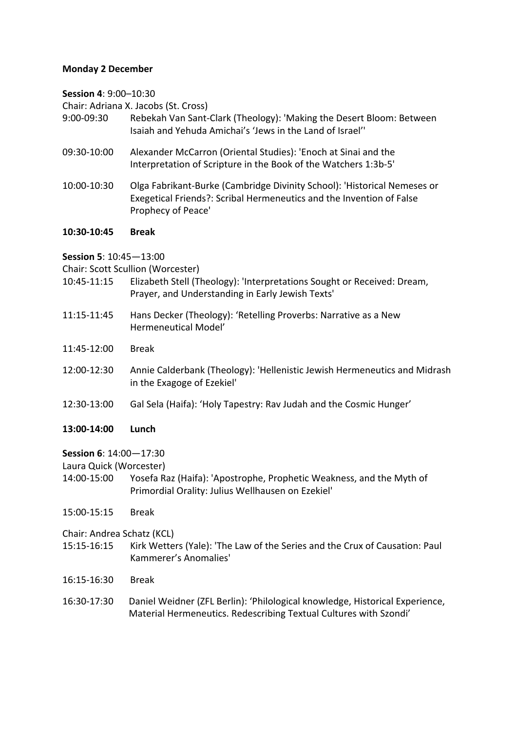#### **Monday 2 December**

**Session 4**: 9:00–10:30

Chair: Adriana X. Jacobs (St. Cross)

- 9:00-09:30 Rebekah Van Sant-Clark (Theology): 'Making the Desert Bloom: Between Isaiah and Yehuda Amichai's 'Jews in the Land of Israel''
- 09:30-10:00 Alexander McCarron (Oriental Studies): 'Enoch at Sinai and the Interpretation of Scripture in the Book of the Watchers 1:3b-5'
- 10:00-10:30 Olga Fabrikant-Burke (Cambridge Divinity School): 'Historical Nemeses or Exegetical Friends?: Scribal Hermeneutics and the Invention of False Prophecy of Peace'

#### **10:30-10:45 Break**

**Session 5**: 10:45—13:00

Chair: Scott Scullion (Worcester)

- 10:45-11:15 Elizabeth Stell (Theology): 'Interpretations Sought or Received: Dream, Prayer, and Understanding in Early Jewish Texts'
- 11:15-11:45 Hans Decker (Theology): 'Retelling Proverbs: Narrative as a New Hermeneutical Model'
- 11:45-12:00 Break
- 12:00-12:30 Annie Calderbank (Theology): 'Hellenistic Jewish Hermeneutics and Midrash in the Exagoge of Ezekiel'
- 12:30-13:00 Gal Sela (Haifa): 'Holy Tapestry: Rav Judah and the Cosmic Hunger'
- **13:00-14:00 Lunch**

#### **Session 6**: 14:00—17:30

Laura Quick (Worcester)

- 14:00-15:00 Yosefa Raz (Haifa): 'Apostrophe, Prophetic Weakness, and the Myth of Primordial Orality: Julius Wellhausen on Ezekiel'
- 15:00-15:15 Break

Chair: Andrea Schatz (KCL)

- 15:15-16:15 Kirk Wetters (Yale): 'The Law of the Series and the Crux of Causation: Paul Kammerer's Anomalies'
- 16:15-16:30 Break
- 16:30-17:30 Daniel Weidner (ZFL Berlin): 'Philological knowledge, Historical Experience, Material Hermeneutics. Redescribing Textual Cultures with Szondi'